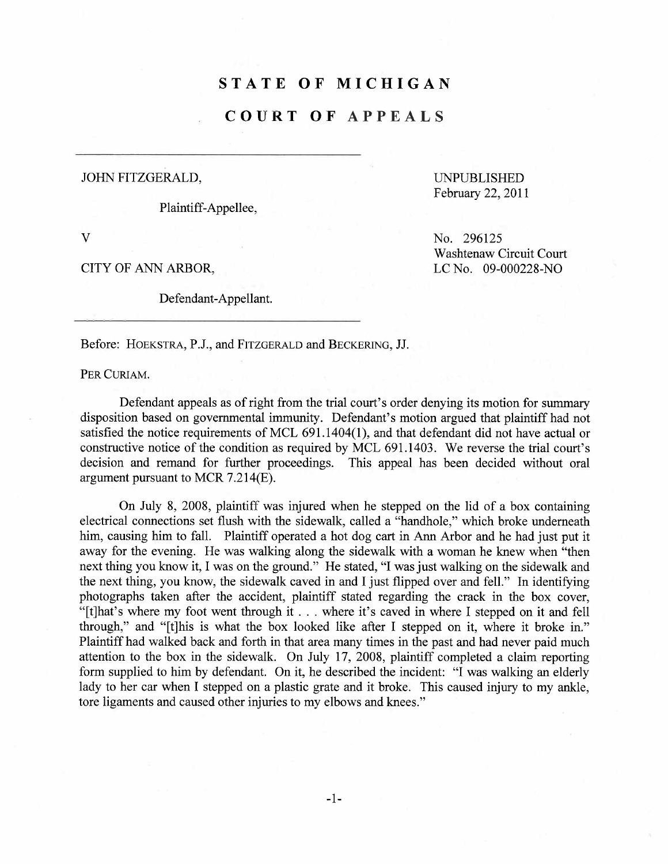## STATE OF MICHIGAN

## COURT OF APPEALS

## JOHN FITZGERALD, UNPUBLISHED

Plaintiff-Appellee,

v

CITY OF ANN ARBOR,

Defendant-Appellant.

February 22, 2011

No. 296125 Washtenaw Circuit Court LC No. 09-000228-NO

Before: HOEKSTRA, P.J., and FITZGERALD and BECKERING, JJ.

PER CURIAM.

Defendant appeals as of right from the trial court's order denying its motion for summary disposition based on governental immunity. Defendant's motion argued that plaintiff had not satisfied the notice requirements of MCL  $691.1404(1)$ , and that defendant did not have actual or constructive notice of the condition as required by MCL 691.1403. We reverse the trial court's decision and remand for further proceedings. This appeal has been decided without oral argument pursuant to MCR 7.214(E).

On July 8, 2008, plaintiff was injured when he stepped on the lid of a box containing electrical connections set flush with the sidewalk, called a "handhole," which broke underneath him, causing him to fall. Plaintiff operated a hot dog cart in Ann Arbor and he had just put it away for the evening. He was walking along the sidewalk with a woman he knew when "then next thing you know it, I was on the ground." He stated, "I was just walking on the sidewalk and the next thing, you know, the sidewalk caved in and I just flipped over and fell." In identifying photographs taken after the accident, plaintiff stated regarding the crack in the box cover, "(tJhat's where my foot went through it .. where it's caved in where I stepped on it and fell through," and "(tJhis is what the box looked like after I stepped on it, where it broke in." Plaintiff had walked back and forth in that area many times in the past and had never paid much attention to the box in the sidewalk. On July 17, 2008, plaintiff completed a claim reporting form supplied to him by defendant. On it, he described the incident: "I was walking an elderly lady to her car when I stepped on a plastic grate and it broke. This caused injury to my ankle, tore ligaments and caused other injuries to my elbows and knees."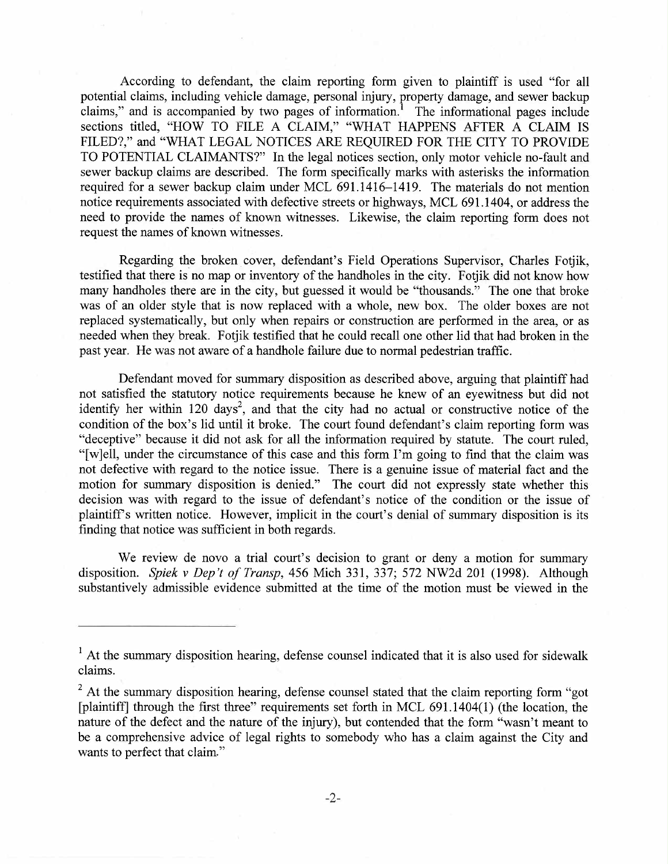According to defendant, the claim reporting form given to plaintiff is used "for all potential claims, including vehicle damage, personal injury, property damage, and sewer backup claims," and is accompanied by two pages of information.<sup>1</sup> The informational pages include sections titled, "HOW TO FILE A CLAIM," "WHAT HAPPENS AFTER A CLAIM IS FILED?," and "WHAT LEGAL NOTICES ARE REQUIRED FOR THE CITY TO PROVIDE TO POTENTIAL CLAIMANTS?" In the legal notices section, only motor vehicle no-fault and sewer backup claims are described. The form specifically marks with asterisks the information required for a sewer backup claim under MCL 691.1416-1419. The materials do not mention notice requirements associated with defective streets or highways, MCL 691.1404, or address the need to provide the names of known witnesses. Likewise, the claim reporting form does not request the names of known witnesses.

Regarding the broken cover, defendant's Field Operations Supervisor, Charles Fotjik, testified that there is no map or inventory of the handholes in the city. Fotjik did not know how many handholes there are in the city, but guessed it would be "thousands." The one that broke was of an older style that is now replaced with a whole, new box. The older boxes are not replaced systematically, but only when repairs or construction are performed in the area, or as needed when they break. Fotjik testified that he could recall one other lid that had broken in the past year. He was not aware of a handhole failure due to normal pedestrian traffc.

Defendant moved for summary disposition as described above, arguing that plaintiff had not satisfied the statutory notice requirements because he knew of an eyewitness but did not identify her within 120 days<sup>2</sup>, and that the city had no actual or constructive notice of the condition of the box's lid until it broke. The court found defendant's claim reporting form was "deceptive" because it did not ask for all the information required by statute. The court ruled, "[w]ell, under the circumstance of this case and this form I'm going to find that the claim was not defective with regard to the notice issue. There is a genuine issue of material fact and the motion for summary disposition is denied." The court did not expressly state whether this decision was with regard to the issue of defendant's notice of the condition or the issue of plaintiffs written notice. However, implicit in the cour's denial of summary disposition is its finding that notice was sufficient in both regards.

We review de novo a trial court's decision to grant or deny a motion for summary disposition. Spiek v Dep't of Transp, 456 Mich 331, 337; 572 NW2d 201 (1998). Although substantively admissible evidence submitted at the time of the motion must be viewed in the

 $\frac{1}{1}$  At the summary disposition hearing, defense counsel indicated that it is also used for sidewalk claims.

 $2<sup>2</sup>$  At the summary disposition hearing, defense counsel stated that the claim reporting form "got" (plaintiffj through the first three" requirements set forth in MCL 691.1404(1) (the location, the nature of the defect and the nature of the injury), but contended that the form "wasn't meant to be a comprehensive advice of legal rights to somebody who has a claim against the City and wants to perfect that claim."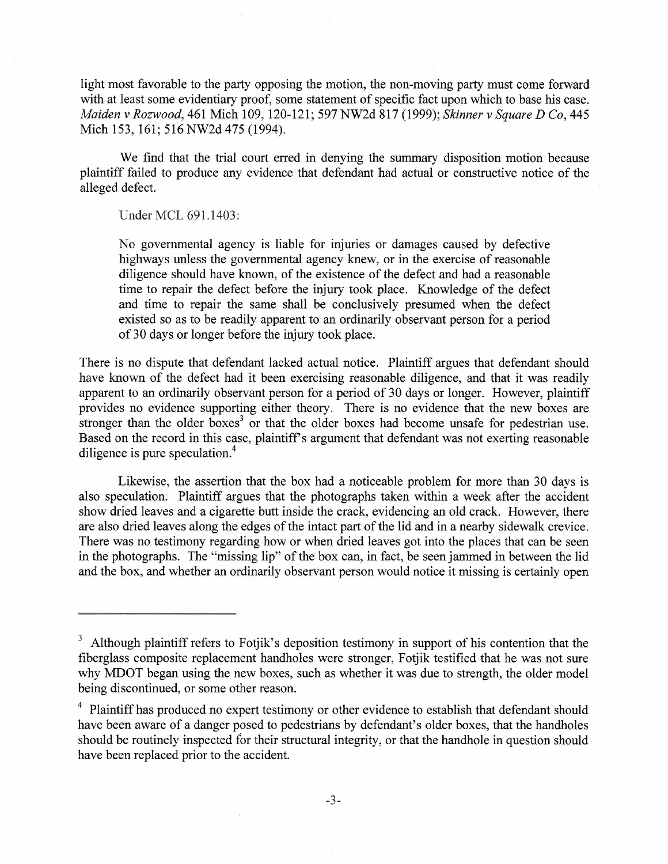light most favorable to the party opposing the motion, the non-moving party must come forward with at least some evidentiary proof, some statement of specific fact upon which to base his case. Maiden v Rozwood, 461 Mich 109, 120-121; 597 NW2d 817 (1999); Skinner v Square D Co, 445 Mich 153, 161; 516 NW2d 475 (1994).

We find that the trial court erred in denying the summary disposition motion because plaintiff failed to produce any evidence that defendant had actual or constructive notice of the alleged defect.

Under MCL 691.1403:

No governmental agency is liable for injuries or damages caused by defective highways unless the governmental agency knew, or in the exercise of reasonable diligence should have known, of the existence of the defect and had a reasonable time to repair the defect before the injury took place. Knowledge of the defect and time to repair the same shall be conclusively presumed when the defect existed so as to be readily appaænt to an ordinarily observant person for a period of 30 days or longer before the injury took place.

There is no dispute that defendant lacked actual notice. Plaintiff argues that defendant should have known of the defect had it been exercising reasonable diligence, and that it was readily apparent to an ordinarily observant person for a period of 30 days or longer. However, plaintiff provides no evidence supporting either theory. There is no evidence that the new boxes are stronger than the older boxes<sup>3</sup> or that the older boxes had become unsafe for pedestrian use. Based on the record in this case, plaintiff's argument that defendant was not exerting reasonable diligence is pure speculation.<sup>4</sup>

Likewise, the assertion that the box had a noticeable problem for more than 30 days is also speculation. Plaintiff argues that the photographs taken within a week after the accident show dried leaves and a cigarette butt inside the crack, evidencing an old crack. However, there are also dried leaves along the edges of the intact part of the lid and in a nearby sidewalk crevice. There was no testimony regarding how or when dried leaves got into the places that can be seen in the photographs. The "missing lip" of the box can, in fact, be seen jamed in between the lid and the box, and whether an ordinarily observant person would notice it missing is certainly open

 $3$  Although plaintiff refers to Fotjik's deposition testimony in support of his contention that the fiberglass composite replacement handholes were stronger, Fotjik testified that he was not sure why MDOT began using the new boxes, such as whether it was due to strength, the older model being discontinued, or some other reason.

<sup>&</sup>lt;sup>4</sup> Plaintiff has produced no expert testimony or other evidence to establish that defendant should have been aware of a danger posed to pedestrians by defendant's older boxes, that the handholes should be routinely inspected for their structural integrity, or that the handhole in question should have been replaced prior to the accident.